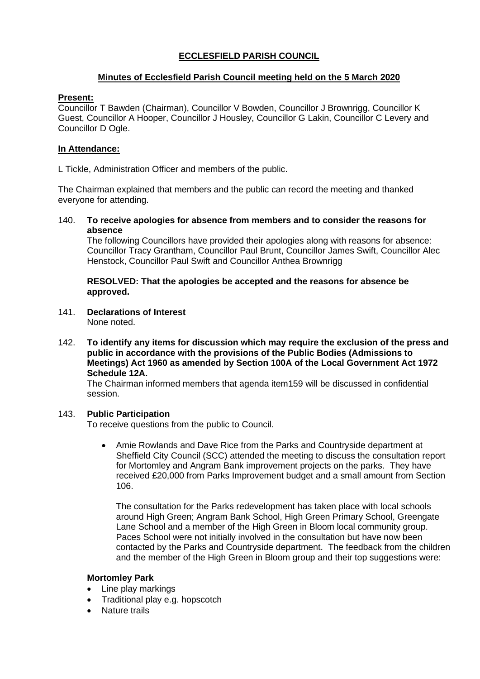# **ECCLESFIELD PARISH COUNCIL**

# **Minutes of Ecclesfield Parish Council meeting held on the 5 March 2020**

## **Present:**

Councillor T Bawden (Chairman), Councillor V Bowden, Councillor J Brownrigg, Councillor K Guest, Councillor A Hooper, Councillor J Housley, Councillor G Lakin, Councillor C Levery and Councillor D Ogle.

# **In Attendance:**

L Tickle, Administration Officer and members of the public.

The Chairman explained that members and the public can record the meeting and thanked everyone for attending.

140. **To receive apologies for absence from members and to consider the reasons for absence**

The following Councillors have provided their apologies along with reasons for absence: Councillor Tracy Grantham, Councillor Paul Brunt, Councillor James Swift, Councillor Alec Henstock, Councillor Paul Swift and Councillor Anthea Brownrigg

**RESOLVED: That the apologies be accepted and the reasons for absence be approved.**

141. **Declarations of Interest**

None noted.

142. **To identify any items for discussion which may require the exclusion of the press and public in accordance with the provisions of the Public Bodies (Admissions to Meetings) Act 1960 as amended by Section 100A of the Local Government Act 1972 Schedule 12A.**

The Chairman informed members that agenda item159 will be discussed in confidential session.

## 143. **Public Participation**

To receive questions from the public to Council.

• Amie Rowlands and Dave Rice from the Parks and Countryside department at Sheffield City Council (SCC) attended the meeting to discuss the consultation report for Mortomley and Angram Bank improvement projects on the parks. They have received £20,000 from Parks Improvement budget and a small amount from Section 106.

The consultation for the Parks redevelopment has taken place with local schools around High Green; Angram Bank School, High Green Primary School, Greengate Lane School and a member of the High Green in Bloom local community group. Paces School were not initially involved in the consultation but have now been contacted by the Parks and Countryside department. The feedback from the children and the member of the High Green in Bloom group and their top suggestions were:

## **Mortomley Park**

- Line play markings
- Traditional play e.g. hopscotch
- Nature trails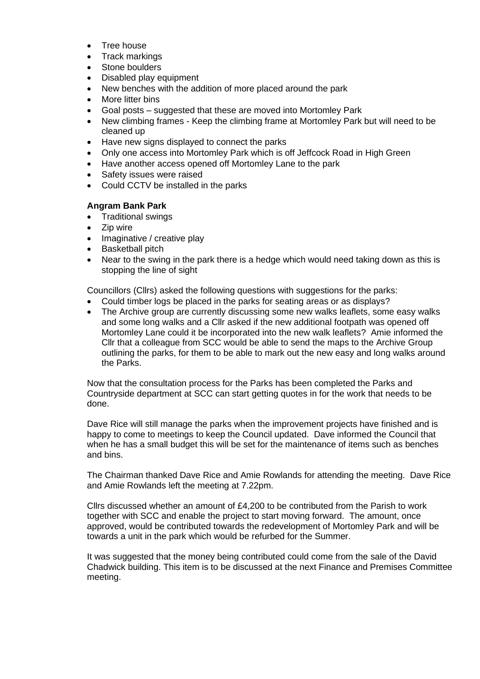- Tree house
- Track markings
- Stone boulders
- Disabled play equipment
- New benches with the addition of more placed around the park
- More litter bins
- Goal posts suggested that these are moved into Mortomley Park
- New climbing frames Keep the climbing frame at Mortomley Park but will need to be cleaned up
- Have new signs displayed to connect the parks
- Only one access into Mortomley Park which is off Jeffcock Road in High Green
- Have another access opened off Mortomley Lane to the park
- Safety issues were raised
- Could CCTV be installed in the parks

# **Angram Bank Park**

- Traditional swings
- Zip wire
- Imaginative / creative play
- Basketball pitch
- Near to the swing in the park there is a hedge which would need taking down as this is stopping the line of sight

Councillors (Cllrs) asked the following questions with suggestions for the parks:

- Could timber logs be placed in the parks for seating areas or as displays?
- The Archive group are currently discussing some new walks leaflets, some easy walks and some long walks and a Cllr asked if the new additional footpath was opened off Mortomley Lane could it be incorporated into the new walk leaflets? Amie informed the Cllr that a colleague from SCC would be able to send the maps to the Archive Group outlining the parks, for them to be able to mark out the new easy and long walks around the Parks.

Now that the consultation process for the Parks has been completed the Parks and Countryside department at SCC can start getting quotes in for the work that needs to be done.

Dave Rice will still manage the parks when the improvement projects have finished and is happy to come to meetings to keep the Council updated. Dave informed the Council that when he has a small budget this will be set for the maintenance of items such as benches and bins.

The Chairman thanked Dave Rice and Amie Rowlands for attending the meeting. Dave Rice and Amie Rowlands left the meeting at 7.22pm.

Cllrs discussed whether an amount of £4,200 to be contributed from the Parish to work together with SCC and enable the project to start moving forward. The amount, once approved, would be contributed towards the redevelopment of Mortomley Park and will be towards a unit in the park which would be refurbed for the Summer.

It was suggested that the money being contributed could come from the sale of the David Chadwick building. This item is to be discussed at the next Finance and Premises Committee meeting.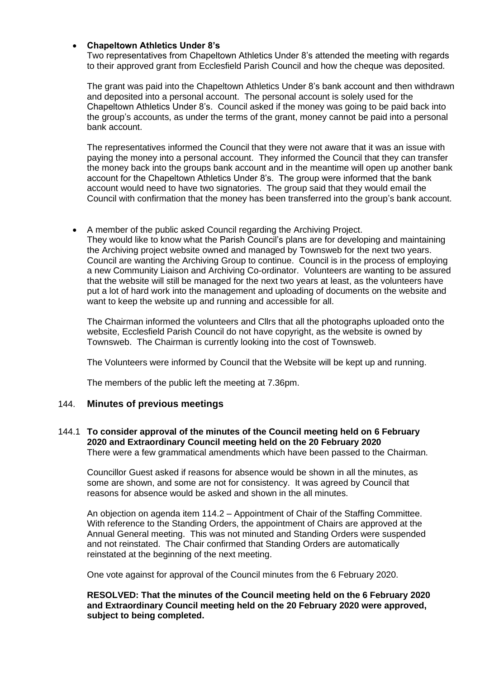### • **Chapeltown Athletics Under 8's**

Two representatives from Chapeltown Athletics Under 8's attended the meeting with regards to their approved grant from Ecclesfield Parish Council and how the cheque was deposited.

The grant was paid into the Chapeltown Athletics Under 8's bank account and then withdrawn and deposited into a personal account. The personal account is solely used for the Chapeltown Athletics Under 8's. Council asked if the money was going to be paid back into the group's accounts, as under the terms of the grant, money cannot be paid into a personal bank account.

The representatives informed the Council that they were not aware that it was an issue with paying the money into a personal account. They informed the Council that they can transfer the money back into the groups bank account and in the meantime will open up another bank account for the Chapeltown Athletics Under 8's. The group were informed that the bank account would need to have two signatories. The group said that they would email the Council with confirmation that the money has been transferred into the group's bank account.

• A member of the public asked Council regarding the Archiving Project. They would like to know what the Parish Council's plans are for developing and maintaining the Archiving project website owned and managed by Townsweb for the next two years. Council are wanting the Archiving Group to continue. Council is in the process of employing a new Community Liaison and Archiving Co-ordinator. Volunteers are wanting to be assured that the website will still be managed for the next two years at least, as the volunteers have put a lot of hard work into the management and uploading of documents on the website and want to keep the website up and running and accessible for all.

The Chairman informed the volunteers and Cllrs that all the photographs uploaded onto the website, Ecclesfield Parish Council do not have copyright, as the website is owned by Townsweb. The Chairman is currently looking into the cost of Townsweb.

The Volunteers were informed by Council that the Website will be kept up and running.

The members of the public left the meeting at 7.36pm.

## 144. **Minutes of previous meetings**

### 144.1 **To consider approval of the minutes of the Council meeting held on 6 February 2020 and Extraordinary Council meeting held on the 20 February 2020**  There were a few grammatical amendments which have been passed to the Chairman.

Councillor Guest asked if reasons for absence would be shown in all the minutes, as some are shown, and some are not for consistency. It was agreed by Council that reasons for absence would be asked and shown in the all minutes.

An objection on agenda item 114.2 – Appointment of Chair of the Staffing Committee. With reference to the Standing Orders, the appointment of Chairs are approved at the Annual General meeting. This was not minuted and Standing Orders were suspended and not reinstated. The Chair confirmed that Standing Orders are automatically reinstated at the beginning of the next meeting.

One vote against for approval of the Council minutes from the 6 February 2020.

## **RESOLVED: That the minutes of the Council meeting held on the 6 February 2020 and Extraordinary Council meeting held on the 20 February 2020 were approved, subject to being completed.**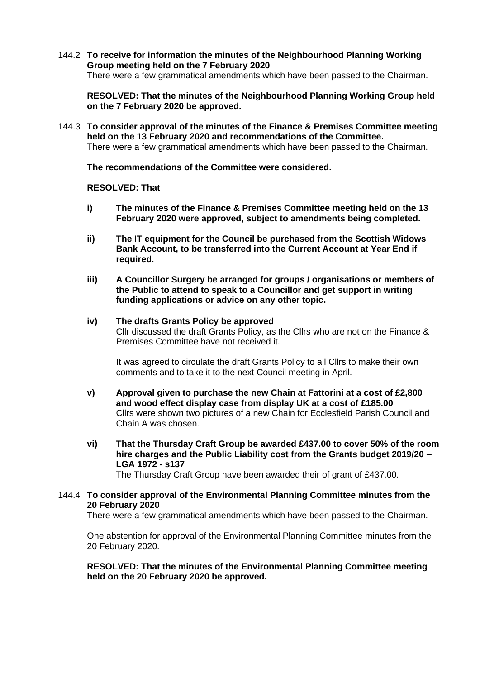144.2 **To receive for information the minutes of the Neighbourhood Planning Working Group meeting held on the 7 February 2020** There were a few grammatical amendments which have been passed to the Chairman.

**RESOLVED: That the minutes of the Neighbourhood Planning Working Group held on the 7 February 2020 be approved.**

144.3 **To consider approval of the minutes of the Finance & Premises Committee meeting held on the 13 February 2020 and recommendations of the Committee.** There were a few grammatical amendments which have been passed to the Chairman.

**The recommendations of the Committee were considered.**

**RESOLVED: That**

- **i) The minutes of the Finance & Premises Committee meeting held on the 13 February 2020 were approved, subject to amendments being completed.**
- **ii) The IT equipment for the Council be purchased from the Scottish Widows Bank Account, to be transferred into the Current Account at Year End if required.**
- **iii) A Councillor Surgery be arranged for groups / organisations or members of the Public to attend to speak to a Councillor and get support in writing funding applications or advice on any other topic.**
- **iv) The drafts Grants Policy be approved** Cllr discussed the draft Grants Policy, as the Cllrs who are not on the Finance & Premises Committee have not received it.

It was agreed to circulate the draft Grants Policy to all Cllrs to make their own comments and to take it to the next Council meeting in April.

- **v) Approval given to purchase the new Chain at Fattorini at a cost of £2,800 and wood effect display case from display UK at a cost of £185.00** Cllrs were shown two pictures of a new Chain for Ecclesfield Parish Council and Chain A was chosen.
- **vi) That the Thursday Craft Group be awarded £437.00 to cover 50% of the room hire charges and the Public Liability cost from the Grants budget 2019/20 – LGA 1972 - s137**

The Thursday Craft Group have been awarded their of grant of £437.00.

## 144.4 **To consider approval of the Environmental Planning Committee minutes from the 20 February 2020**

There were a few grammatical amendments which have been passed to the Chairman.

One abstention for approval of the Environmental Planning Committee minutes from the 20 February 2020.

**RESOLVED: That the minutes of the Environmental Planning Committee meeting held on the 20 February 2020 be approved.**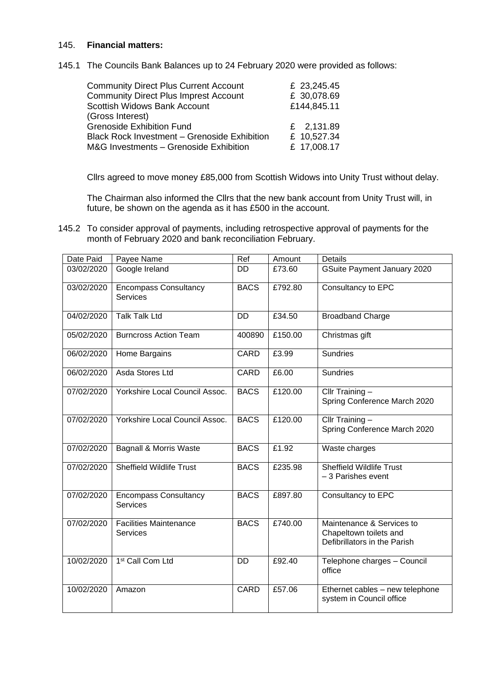### 145. **Financial matters:**

145.1 The Councils Bank Balances up to 24 February 2020 were provided as follows:

| <b>Community Direct Plus Current Account</b> | £ 23,245.45 |
|----------------------------------------------|-------------|
| <b>Community Direct Plus Imprest Account</b> | £ 30,078.69 |
| Scottish Widows Bank Account                 | £144,845.11 |
| (Gross Interest)                             |             |
| <b>Grenoside Exhibition Fund</b>             | £ 2,131.89  |
| Black Rock Investment - Grenoside Exhibition | £ 10,527.34 |
| M&G Investments - Grenoside Exhibition       | £ 17,008.17 |

Cllrs agreed to move money £85,000 from Scottish Widows into Unity Trust without delay.

The Chairman also informed the Cllrs that the new bank account from Unity Trust will, in future, be shown on the agenda as it has £500 in the account.

145.2 To consider approval of payments, including retrospective approval of payments for the month of February 2020 and bank reconciliation February.

| Date Paid  | Payee Name                                       | Ref         | Amount  | <b>Details</b>                                                                      |
|------------|--------------------------------------------------|-------------|---------|-------------------------------------------------------------------------------------|
| 03/02/2020 | Google Ireland                                   | DD          | £73.60  | GSuite Payment January 2020                                                         |
| 03/02/2020 | <b>Encompass Consultancy</b><br><b>Services</b>  | <b>BACS</b> | £792.80 | Consultancy to EPC                                                                  |
| 04/02/2020 | <b>Talk Talk Ltd</b>                             | <b>DD</b>   | £34.50  | <b>Broadband Charge</b>                                                             |
| 05/02/2020 | <b>Burncross Action Team</b>                     | 400890      | £150.00 | Christmas gift                                                                      |
| 06/02/2020 | Home Bargains                                    | <b>CARD</b> | £3.99   | <b>Sundries</b>                                                                     |
| 06/02/2020 | Asda Stores Ltd                                  | CARD        | £6.00   | <b>Sundries</b>                                                                     |
| 07/02/2020 | Yorkshire Local Council Assoc.                   | <b>BACS</b> | £120.00 | Cllr Training -<br>Spring Conference March 2020                                     |
| 07/02/2020 | Yorkshire Local Council Assoc.                   | <b>BACS</b> | £120.00 | Cllr Training $-$<br>Spring Conference March 2020                                   |
| 07/02/2020 | <b>Bagnall &amp; Morris Waste</b>                | <b>BACS</b> | £1.92   | Waste charges                                                                       |
| 07/02/2020 | <b>Sheffield Wildlife Trust</b>                  | <b>BACS</b> | £235.98 | <b>Sheffield Wildlife Trust</b><br>-3 Parishes event                                |
| 07/02/2020 | <b>Encompass Consultancy</b><br><b>Services</b>  | <b>BACS</b> | £897.80 | Consultancy to EPC                                                                  |
| 07/02/2020 | <b>Facilities Maintenance</b><br><b>Services</b> | <b>BACS</b> | £740.00 | Maintenance & Services to<br>Chapeltown toilets and<br>Defibrillators in the Parish |
| 10/02/2020 | 1 <sup>st</sup> Call Com Ltd                     | DD          | £92.40  | Telephone charges - Council<br>office                                               |
| 10/02/2020 | Amazon                                           | CARD        | £57.06  | Ethernet cables - new telephone<br>system in Council office                         |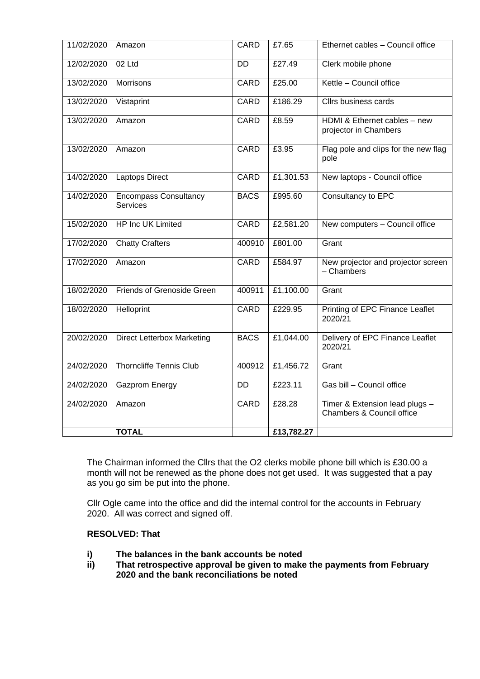| 11/02/2020 | Amazon                                          | CARD        | £7.65      | Ethernet cables - Council office                            |
|------------|-------------------------------------------------|-------------|------------|-------------------------------------------------------------|
| 12/02/2020 | 02 Ltd                                          | <b>DD</b>   | £27.49     | Clerk mobile phone                                          |
| 13/02/2020 | <b>Morrisons</b>                                | <b>CARD</b> | £25.00     | Kettle - Council office                                     |
| 13/02/2020 | Vistaprint                                      | <b>CARD</b> | £186.29    | Cllrs business cards                                        |
| 13/02/2020 | Amazon                                          | CARD        | £8.59      | HDMI & Ethernet cables - new<br>projector in Chambers       |
| 13/02/2020 | Amazon                                          | CARD        | £3.95      | Flag pole and clips for the new flag<br>pole                |
| 14/02/2020 | <b>Laptops Direct</b>                           | <b>CARD</b> | £1,301.53  | New laptops - Council office                                |
| 14/02/2020 | <b>Encompass Consultancy</b><br><b>Services</b> | <b>BACS</b> | £995.60    | Consultancy to EPC                                          |
| 15/02/2020 | HP Inc UK Limited                               | CARD        | £2,581.20  | New computers - Council office                              |
| 17/02/2020 | <b>Chatty Crafters</b>                          | 400910      | £801.00    | Grant                                                       |
| 17/02/2020 | Amazon                                          | CARD        | £584.97    | New projector and projector screen<br>- Chambers            |
| 18/02/2020 | Friends of Grenoside Green                      | 400911      | £1,100.00  | Grant                                                       |
| 18/02/2020 | Helloprint                                      | CARD        | £229.95    | Printing of EPC Finance Leaflet<br>2020/21                  |
| 20/02/2020 | <b>Direct Letterbox Marketing</b>               | <b>BACS</b> | £1,044.00  | Delivery of EPC Finance Leaflet<br>2020/21                  |
| 24/02/2020 | <b>Thorncliffe Tennis Club</b>                  | 400912      | £1,456.72  | Grant                                                       |
| 24/02/2020 | <b>Gazprom Energy</b>                           | <b>DD</b>   | £223.11    | Gas bill - Council office                                   |
| 24/02/2020 | Amazon                                          | <b>CARD</b> | £28.28     | Timer & Extension lead plugs -<br>Chambers & Council office |
|            | <b>TOTAL</b>                                    |             | £13,782.27 |                                                             |

The Chairman informed the Cllrs that the O2 clerks mobile phone bill which is £30.00 a month will not be renewed as the phone does not get used. It was suggested that a pay as you go sim be put into the phone.

Cllr Ogle came into the office and did the internal control for the accounts in February 2020. All was correct and signed off.

## **RESOLVED: That**

- **i) The balances in the bank accounts be noted**
- **ii) That retrospective approval be given to make the payments from February 2020 and the bank reconciliations be noted**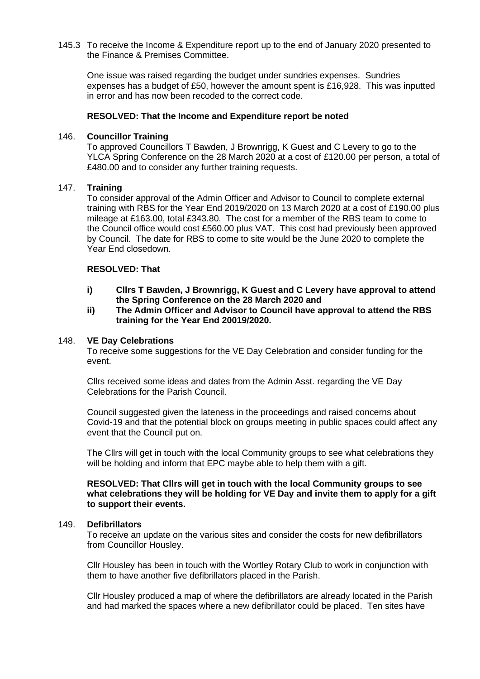145.3 To receive the Income & Expenditure report up to the end of January 2020 presented to the Finance & Premises Committee.

One issue was raised regarding the budget under sundries expenses. Sundries expenses has a budget of £50, however the amount spent is £16,928. This was inputted in error and has now been recoded to the correct code.

#### **RESOLVED: That the Income and Expenditure report be noted**

### 146. **Councillor Training**

To approved Councillors T Bawden, J Brownrigg, K Guest and C Levery to go to the YLCA Spring Conference on the 28 March 2020 at a cost of £120.00 per person, a total of £480.00 and to consider any further training requests.

### 147. **Training**

To consider approval of the Admin Officer and Advisor to Council to complete external training with RBS for the Year End 2019/2020 on 13 March 2020 at a cost of £190.00 plus mileage at £163.00, total £343.80. The cost for a member of the RBS team to come to the Council office would cost £560.00 plus VAT. This cost had previously been approved by Council. The date for RBS to come to site would be the June 2020 to complete the Year End closedown.

## **RESOLVED: That**

- **i) Cllrs T Bawden, J Brownrigg, K Guest and C Levery have approval to attend the Spring Conference on the 28 March 2020 and**
- **ii) The Admin Officer and Advisor to Council have approval to attend the RBS training for the Year End 20019/2020.**

#### 148. **VE Day Celebrations**

To receive some suggestions for the VE Day Celebration and consider funding for the event.

Cllrs received some ideas and dates from the Admin Asst. regarding the VE Day Celebrations for the Parish Council.

Council suggested given the lateness in the proceedings and raised concerns about Covid-19 and that the potential block on groups meeting in public spaces could affect any event that the Council put on.

The Cllrs will get in touch with the local Community groups to see what celebrations they will be holding and inform that EPC maybe able to help them with a gift.

#### **RESOLVED: That Cllrs will get in touch with the local Community groups to see what celebrations they will be holding for VE Day and invite them to apply for a gift to support their events.**

#### 149. **Defibrillators**

To receive an update on the various sites and consider the costs for new defibrillators from Councillor Housley.

Cllr Housley has been in touch with the Wortley Rotary Club to work in conjunction with them to have another five defibrillators placed in the Parish.

Cllr Housley produced a map of where the defibrillators are already located in the Parish and had marked the spaces where a new defibrillator could be placed. Ten sites have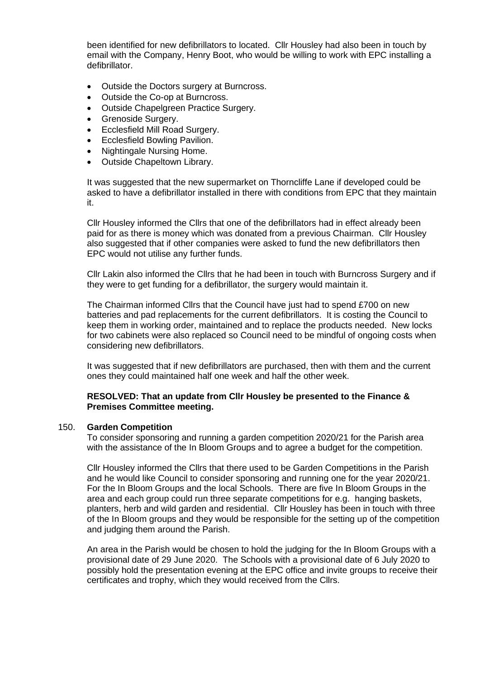been identified for new defibrillators to located. Cllr Housley had also been in touch by email with the Company, Henry Boot, who would be willing to work with EPC installing a defibrillator.

- Outside the Doctors surgery at Burncross.
- Outside the Co-op at Burncross.
- Outside Chapelgreen Practice Surgery.
- Grenoside Surgery.
- Ecclesfield Mill Road Surgery.
- Ecclesfield Bowling Pavilion.
- Nightingale Nursing Home.
- Outside Chapeltown Library.

It was suggested that the new supermarket on Thorncliffe Lane if developed could be asked to have a defibrillator installed in there with conditions from EPC that they maintain it.

Cllr Housley informed the Cllrs that one of the defibrillators had in effect already been paid for as there is money which was donated from a previous Chairman. Cllr Housley also suggested that if other companies were asked to fund the new defibrillators then EPC would not utilise any further funds.

Cllr Lakin also informed the Cllrs that he had been in touch with Burncross Surgery and if they were to get funding for a defibrillator, the surgery would maintain it.

The Chairman informed Cllrs that the Council have just had to spend £700 on new batteries and pad replacements for the current defibrillators. It is costing the Council to keep them in working order, maintained and to replace the products needed. New locks for two cabinets were also replaced so Council need to be mindful of ongoing costs when considering new defibrillators.

It was suggested that if new defibrillators are purchased, then with them and the current ones they could maintained half one week and half the other week.

## **RESOLVED: That an update from Cllr Housley be presented to the Finance & Premises Committee meeting.**

#### 150. **Garden Competition**

To consider sponsoring and running a garden competition 2020/21 for the Parish area with the assistance of the In Bloom Groups and to agree a budget for the competition.

Cllr Housley informed the Cllrs that there used to be Garden Competitions in the Parish and he would like Council to consider sponsoring and running one for the year 2020/21. For the In Bloom Groups and the local Schools. There are five In Bloom Groups in the area and each group could run three separate competitions for e.g. hanging baskets, planters, herb and wild garden and residential. Cllr Housley has been in touch with three of the In Bloom groups and they would be responsible for the setting up of the competition and judging them around the Parish.

An area in the Parish would be chosen to hold the judging for the In Bloom Groups with a provisional date of 29 June 2020. The Schools with a provisional date of 6 July 2020 to possibly hold the presentation evening at the EPC office and invite groups to receive their certificates and trophy, which they would received from the Cllrs.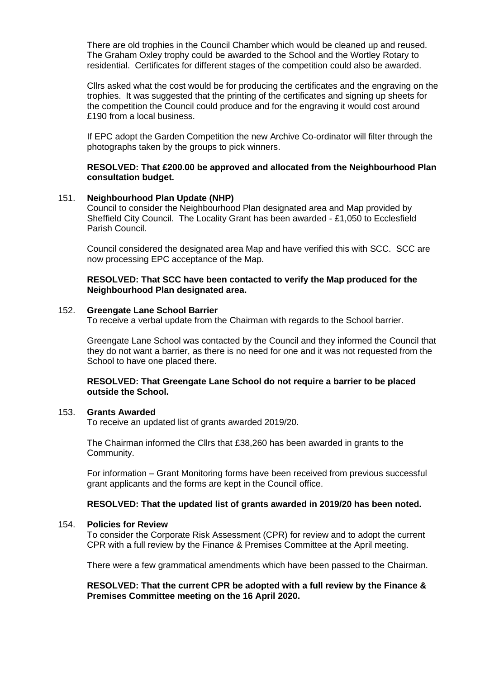There are old trophies in the Council Chamber which would be cleaned up and reused. The Graham Oxley trophy could be awarded to the School and the Wortley Rotary to residential. Certificates for different stages of the competition could also be awarded.

Cllrs asked what the cost would be for producing the certificates and the engraving on the trophies. It was suggested that the printing of the certificates and signing up sheets for the competition the Council could produce and for the engraving it would cost around £190 from a local business.

If EPC adopt the Garden Competition the new Archive Co-ordinator will filter through the photographs taken by the groups to pick winners.

### **RESOLVED: That £200.00 be approved and allocated from the Neighbourhood Plan consultation budget.**

#### 151. **Neighbourhood Plan Update (NHP)**

Council to consider the Neighbourhood Plan designated area and Map provided by Sheffield City Council. The Locality Grant has been awarded - £1,050 to Ecclesfield Parish Council.

Council considered the designated area Map and have verified this with SCC. SCC are now processing EPC acceptance of the Map.

#### **RESOLVED: That SCC have been contacted to verify the Map produced for the Neighbourhood Plan designated area.**

#### 152. **Greengate Lane School Barrier**

To receive a verbal update from the Chairman with regards to the School barrier.

Greengate Lane School was contacted by the Council and they informed the Council that they do not want a barrier, as there is no need for one and it was not requested from the School to have one placed there.

#### **RESOLVED: That Greengate Lane School do not require a barrier to be placed outside the School.**

#### 153. **Grants Awarded**

To receive an updated list of grants awarded 2019/20.

The Chairman informed the Cllrs that £38,260 has been awarded in grants to the Community.

For information – Grant Monitoring forms have been received from previous successful grant applicants and the forms are kept in the Council office.

#### **RESOLVED: That the updated list of grants awarded in 2019/20 has been noted.**

#### 154. **Policies for Review**

To consider the Corporate Risk Assessment (CPR) for review and to adopt the current CPR with a full review by the Finance & Premises Committee at the April meeting.

There were a few grammatical amendments which have been passed to the Chairman.

### **RESOLVED: That the current CPR be adopted with a full review by the Finance & Premises Committee meeting on the 16 April 2020.**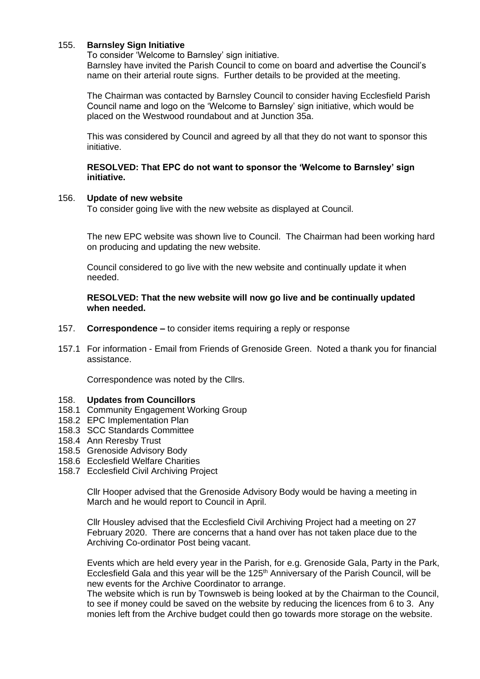### 155. **Barnsley Sign Initiative**

To consider 'Welcome to Barnsley' sign initiative.

Barnsley have invited the Parish Council to come on board and advertise the Council's name on their arterial route signs. Further details to be provided at the meeting.

The Chairman was contacted by Barnsley Council to consider having Ecclesfield Parish Council name and logo on the 'Welcome to Barnsley' sign initiative, which would be placed on the Westwood roundabout and at Junction 35a.

This was considered by Council and agreed by all that they do not want to sponsor this initiative.

**RESOLVED: That EPC do not want to sponsor the 'Welcome to Barnsley' sign initiative.**

#### 156. **Update of new website**

To consider going live with the new website as displayed at Council.

The new EPC website was shown live to Council. The Chairman had been working hard on producing and updating the new website.

Council considered to go live with the new website and continually update it when needed.

#### **RESOLVED: That the new website will now go live and be continually updated when needed.**

- 157. **Correspondence –** to consider items requiring a reply or response
- 157.1 For information Email from Friends of Grenoside Green. Noted a thank you for financial assistance.

Correspondence was noted by the Cllrs.

#### 158. **Updates from Councillors**

- 158.1 Community Engagement Working Group
- 158.2 EPC Implementation Plan
- 158.3 SCC Standards Committee
- 158.4 Ann Reresby Trust
- 158.5 Grenoside Advisory Body
- 158.6 Ecclesfield Welfare Charities
- 158.7 Ecclesfield Civil Archiving Project

Cllr Hooper advised that the Grenoside Advisory Body would be having a meeting in March and he would report to Council in April.

Cllr Housley advised that the Ecclesfield Civil Archiving Project had a meeting on 27 February 2020. There are concerns that a hand over has not taken place due to the Archiving Co-ordinator Post being vacant.

Events which are held every year in the Parish, for e.g. Grenoside Gala, Party in the Park, Ecclesfield Gala and this year will be the 125<sup>th</sup> Anniversary of the Parish Council, will be new events for the Archive Coordinator to arrange.

The website which is run by Townsweb is being looked at by the Chairman to the Council, to see if money could be saved on the website by reducing the licences from 6 to 3. Any monies left from the Archive budget could then go towards more storage on the website.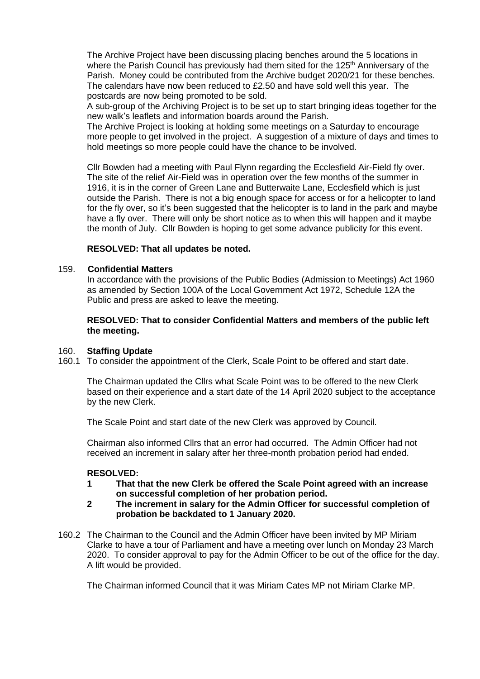The Archive Project have been discussing placing benches around the 5 locations in where the Parish Council has previously had them sited for the 125<sup>th</sup> Anniversary of the Parish. Money could be contributed from the Archive budget 2020/21 for these benches. The calendars have now been reduced to £2.50 and have sold well this year. The postcards are now being promoted to be sold.

A sub-group of the Archiving Project is to be set up to start bringing ideas together for the new walk's leaflets and information boards around the Parish.

The Archive Project is looking at holding some meetings on a Saturday to encourage more people to get involved in the project. A suggestion of a mixture of days and times to hold meetings so more people could have the chance to be involved.

Cllr Bowden had a meeting with Paul Flynn regarding the Ecclesfield Air-Field fly over. The site of the relief Air-Field was in operation over the few months of the summer in 1916, it is in the corner of Green Lane and Butterwaite Lane, Ecclesfield which is just outside the Parish. There is not a big enough space for access or for a helicopter to land for the fly over, so it's been suggested that the helicopter is to land in the park and maybe have a fly over. There will only be short notice as to when this will happen and it maybe the month of July. Cllr Bowden is hoping to get some advance publicity for this event.

### **RESOLVED: That all updates be noted.**

### 159. **Confidential Matters**

In accordance with the provisions of the Public Bodies (Admission to Meetings) Act 1960 as amended by Section 100A of the Local Government Act 1972, Schedule 12A the Public and press are asked to leave the meeting.

**RESOLVED: That to consider Confidential Matters and members of the public left the meeting.**

#### 160. **Staffing Update**

160.1 To consider the appointment of the Clerk, Scale Point to be offered and start date.

The Chairman updated the Cllrs what Scale Point was to be offered to the new Clerk based on their experience and a start date of the 14 April 2020 subject to the acceptance by the new Clerk.

The Scale Point and start date of the new Clerk was approved by Council.

Chairman also informed Cllrs that an error had occurred. The Admin Officer had not received an increment in salary after her three-month probation period had ended.

#### **RESOLVED:**

- **1 That that the new Clerk be offered the Scale Point agreed with an increase on successful completion of her probation period.**
- **2 The increment in salary for the Admin Officer for successful completion of probation be backdated to 1 January 2020.**
- 160.2 The Chairman to the Council and the Admin Officer have been invited by MP Miriam Clarke to have a tour of Parliament and have a meeting over lunch on Monday 23 March 2020. To consider approval to pay for the Admin Officer to be out of the office for the day. A lift would be provided.

The Chairman informed Council that it was Miriam Cates MP not Miriam Clarke MP.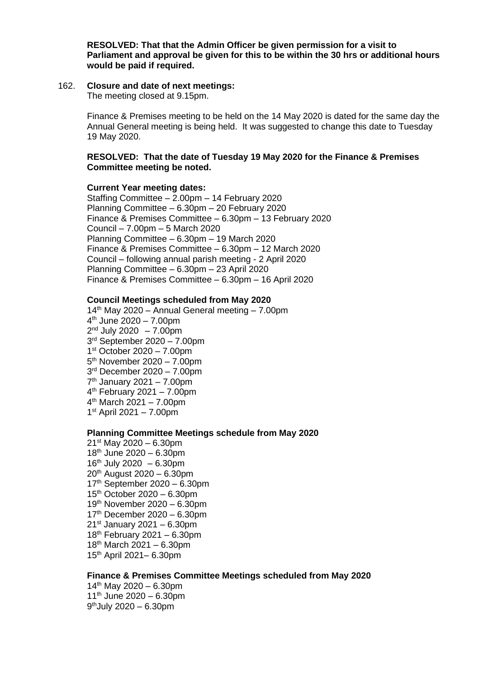**RESOLVED: That that the Admin Officer be given permission for a visit to Parliament and approval be given for this to be within the 30 hrs or additional hours would be paid if required.**

#### 162. **Closure and date of next meetings:**

The meeting closed at 9.15pm.

Finance & Premises meeting to be held on the 14 May 2020 is dated for the same day the Annual General meeting is being held. It was suggested to change this date to Tuesday 19 May 2020.

#### **RESOLVED: That the date of Tuesday 19 May 2020 for the Finance & Premises Committee meeting be noted.**

#### **Current Year meeting dates:**

Staffing Committee – 2.00pm – 14 February 2020 Planning Committee – 6.30pm – 20 February 2020 Finance & Premises Committee – 6.30pm – 13 February 2020 Council – 7.00pm – 5 March 2020 Planning Committee – 6.30pm – 19 March 2020 Finance & Premises Committee – 6.30pm – 12 March 2020 Council – following annual parish meeting - 2 April 2020 Planning Committee – 6.30pm – 23 April 2020 Finance & Premises Committee – 6.30pm – 16 April 2020

#### **Council Meetings scheduled from May 2020**

 $14<sup>th</sup>$  May 2020 – Annual General meeting – 7.00pm th June 2020 – 7.00pm  $2<sup>nd</sup>$  July 2020  $-7.00$ pm rd September 2020 – 7.00pm st October 2020 – 7.00pm 5<sup>th</sup> November 2020 - 7.00pm rd December 2020 – 7.00pm th January 2021 – 7.00pm th February 2021 – 7.00pm th March 2021 – 7.00pm st April 2021 – 7.00pm

### **Planning Committee Meetings schedule from May 2020**

 $21^{st}$  May 2020 – 6.30pm  $18<sup>th</sup>$  June 2020 – 6.30pm 16<sup>th</sup> July 2020 – 6.30pm  $20^{th}$  August 2020 – 6.30pm  $17<sup>th</sup>$  September 2020 – 6.30pm 15th October 2020 – 6.30pm 19th November 2020 – 6.30pm  $17<sup>th</sup>$  December 2020 – 6.30pm  $21<sup>st</sup>$  January 2021 – 6.30pm  $18<sup>th</sup>$  February 2021 – 6.30pm 18th March 2021 – 6.30pm 15th April 2021– 6.30pm

### **Finance & Premises Committee Meetings scheduled from May 2020**

 $14<sup>th</sup>$  May 2020 – 6.30pm  $11^{th}$  June 2020 – 6.30pm 9 thJuly 2020 – 6.30pm